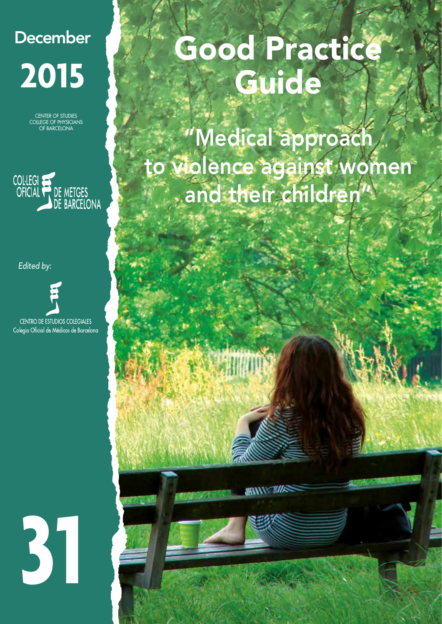## **December 2015**

CENTER OF STUDIES COLLEGE OF PHYSICIANS OF BARCELONA



*Edited by:*

**CENTRO DE ESTUDIOS COLEGIALES** Colegio Oficial de Médicos de Barcelona

# **31**

# Good Practice **Guide**

"Medical approach to violence against women and their children"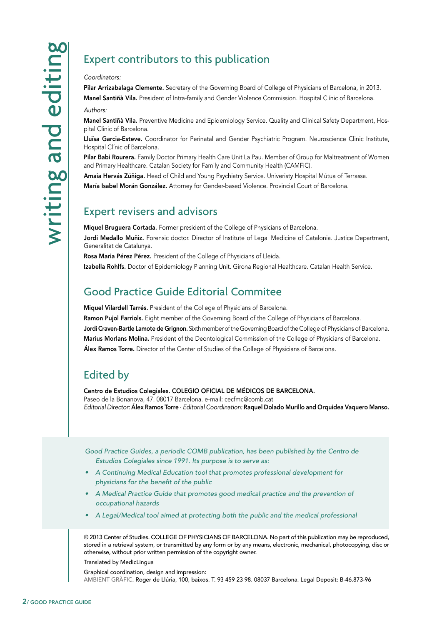#### *Coordinators:*

Pilar Arrizabalaga Clemente. Secretary of the Governing Board of College of Physicians of Barcelona, in 2013. Manel Santiñà Vila. President of Intra-family and Gender Violence Commission. Hospital Clínic of Barcelona.

*Authors:*

Manel Santiñà Vila. Preventive Medicine and Epidemiology Service. Quality and Clinical Safety Department, Hospital Clínic of Barcelona.

Lluïsa Garcia-Esteve. Coordinator for Perinatal and Gender Psychiatric Program. Neuroscience Clinic Institute, Hospital Clínic of Barcelona.

Pilar Babi Rourera. Family Doctor Primary Health Care Unit La Pau. Member of Group for Maltreatment of Women and Primary Healthcare. Catalan Society for Family and Community Health (CAMFiC).

Amaia Hervás Zúñiga. Head of Child and Young Psychiatry Service. Univeristy Hospital Mútua of Terrassa.

María Isabel Morán González. Attorney for Gender-based Violence. Provincial Court of Barcelona.

#### Expert revisers and advisors

Miquel Bruguera Cortada. Former president of the College of Physicians of Barcelona. Jordi Medallo Muñiz. Forensic doctor. Director of Institute of Legal Medicine of Catalonia. Justice Department, Generalitat de Catalunya.

Rosa Maria Pérez Pérez. President of the College of Physicians of Lleida.

Izabella Rohlfs. Doctor of Epidemiology Planning Unit. Girona Regional Healthcare. Catalan Health Service.

#### Good Practice Guide Editorial Commitee

Miquel Vilardell Tarrés. President of the College of Physicians of Barcelona.

EXPECT CONTributors to this publication<br>
Place Arristonial Convention Reserved of the Governing Board of<br>
Manel Santila VIIa, Preserved Medicine and Especial Convertice Reserved Medicine<br>
Manel Santila VIIa, Preserved Medi Ramon Pujol Farriols. Eight member of the Governing Board of the College of Physicians of Barcelona. Jordi Craven-Bartle Lamote de Grignon. Sixth member of the Governing Board of the College of Physicians of Barcelona. Marius Morlans Molina. President of the Deontological Commission of the College of Physicians of Barcelona. Álex Ramos Torre. Director of the Center of Studies of the College of Physicians of Barcelona.

#### Edited by

Centro de Estudios Colegiales. COLEGIO OFICIAL DE MÉDICOS DE BARCELONA. Paseo de la Bonanova, 47. 08017 Barcelona. e-mail: cecfmc@comb.cat *Editorial Director:* Álex Ramos Torre · *Editorial Coordination:* Raquel Dolado Murillo and Orquidea Vaquero Manso.

*Good Practice Guides, a periodic COMB publication, has been published by the Centro de Estudios Colegiales since 1991. Its purpose is to serve as:*

- *• A Continuing Medical Education tool that promotes professional development for physicians for the benefit of the public*
- A Medical Practice Guide that promotes good medical practice and the prevention of *occupational hazards*
- *• A Legal/Medical tool aimed at protecting both the public and the medical professional*

© 2013 Center of Studies. COLLEGE OF PHYSICIANS OF BARCELONA. No part of this publication may be reproduced, stored in a retrieval system, or transmitted by any form or by any means, electronic, mechanical, photocopying, disc or otherwise, without prior written permission of the copyright owner.

Translated by MedicLingua

Graphical coordination, design and impression: AMBIENT GRÀFIC. Roger de Llúria, 100, baixos. T. 93 459 23 98. 08037 Barcelona. Legal Deposit: B-46.873-96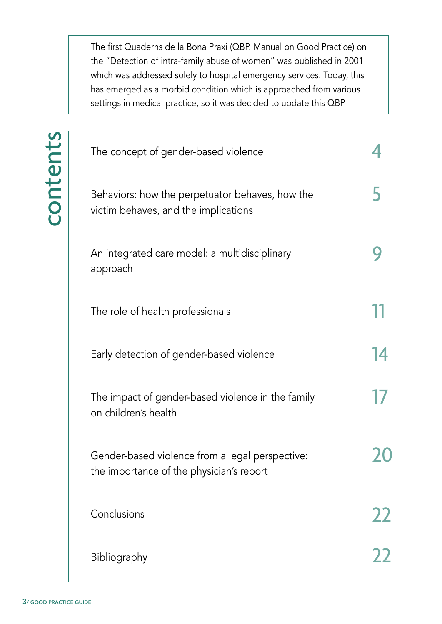The first Quaderns de la Bona Praxi (QBP. Manual on Good Practice) on the "Detection of intra-family abuse of women" was published in 2001 which was addressed solely to hospital emergency services. Today, this has emerged as a morbid condition which is approached from various settings in medical practice, so it was decided to update this QBP

|                        | The concept of gender-based violence                                                        |    |
|------------------------|---------------------------------------------------------------------------------------------|----|
| contents               | Behaviors: how the perpetuator behaves, how the<br>victim behaves, and the implications     |    |
|                        | An integrated care model: a multidisciplinary<br>approach                                   |    |
|                        | The role of health professionals                                                            |    |
|                        | Early detection of gender-based violence                                                    | 14 |
|                        | The impact of gender-based violence in the family<br>on children's health                   |    |
|                        | Gender-based violence from a legal perspective:<br>the importance of the physician's report |    |
|                        | Conclusions                                                                                 | 22 |
|                        | Bibliography                                                                                | 22 |
| 3/ GOOD PRACTICE GUIDE |                                                                                             |    |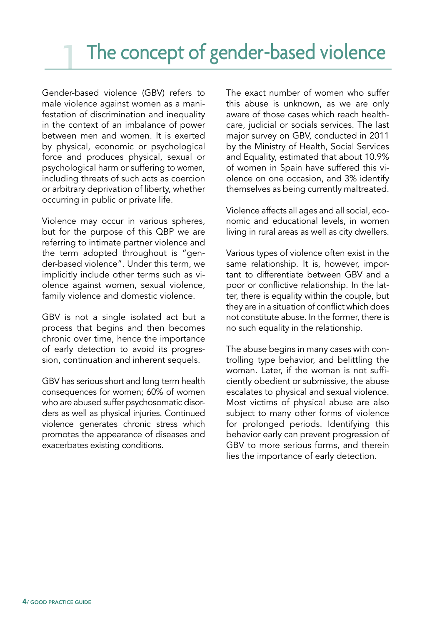Gender-based violence (GBV) refers to male violence against women as a manifestation of discrimination and inequality in the context of an imbalance of power between men and women. It is exerted by physical, economic or psychological force and produces physical, sexual or psychological harm or suffering to women, including threats of such acts as coercion or arbitrary deprivation of liberty, whether occurring in public or private life.

Violence may occur in various spheres, but for the purpose of this QBP we are referring to intimate partner violence and the term adopted throughout is "gender-based violence". Under this term, we implicitly include other terms such as violence against women, sexual violence, family violence and domestic violence.

GBV is not a single isolated act but a process that begins and then becomes chronic over time, hence the importance of early detection to avoid its progression, continuation and inherent sequels.

GBV has serious short and long term health consequences for women; 60% of women who are abused suffer psychosomatic disorders as well as physical injuries. Continued violence generates chronic stress which promotes the appearance of diseases and exacerbates existing conditions.

The exact number of women who suffer this abuse is unknown, as we are only aware of those cases which reach healthcare, judicial or socials services. The last major survey on GBV, conducted in 2011 by the Ministry of Health, Social Services and Equality, estimated that about 10.9% of women in Spain have suffered this violence on one occasion, and 3% identify themselves as being currently maltreated.

Violence affects all ages and all social, economic and educational levels, in women living in rural areas as well as city dwellers.

Various types of violence often exist in the same relationship. It is, however, important to differentiate between GBV and a poor or conflictive relationship. In the latter, there is equality within the couple, but they are in a situation of conflict which does not constitute abuse. In the former, there is no such equality in the relationship.

The abuse begins in many cases with controlling type behavior, and belittling the woman. Later, if the woman is not sufficiently obedient or submissive, the abuse escalates to physical and sexual violence. Most victims of physical abuse are also subject to many other forms of violence for prolonged periods. Identifying this behavior early can prevent progression of GBV to more serious forms, and therein lies the importance of early detection.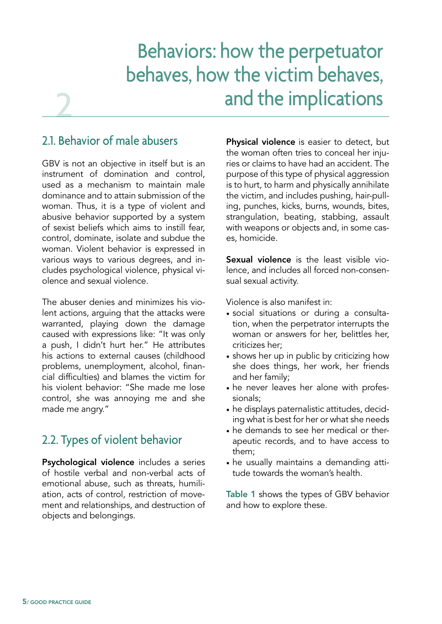## Behaviors: how the perpetuator behaves, how the victim behaves, and the implications

#### 2.1. Behavior of male abusers

2

GBV is not an objective in itself but is an instrument of domination and control, used as a mechanism to maintain male dominance and to attain submission of the woman. Thus, it is a type of violent and abusive behavior supported by a system of sexist beliefs which aims to instill fear, control, dominate, isolate and subdue the woman. Violent behavior is expressed in various ways to various degrees, and includes psychological violence, physical violence and sexual violence.

The abuser denies and minimizes his violent actions, arguing that the attacks were warranted, playing down the damage caused with expressions like: "It was only a push, I didn't hurt her." He attributes his actions to external causes (childhood problems, unemployment, alcohol, financial difficulties) and blames the victim for his violent behavior: "She made me lose control, she was annoying me and she made me angry."

#### 2.2. Types of violent behavior

Psychological violence includes a series of hostile verbal and non-verbal acts of emotional abuse, such as threats, humiliation, acts of control, restriction of movement and relationships, and destruction of objects and belongings.

Physical violence is easier to detect, but the woman often tries to conceal her injuries or claims to have had an accident. The purpose of this type of physical aggression is to hurt, to harm and physically annihilate the victim, and includes pushing, hair-pulling, punches, kicks, burns, wounds, bites, strangulation, beating, stabbing, assault with weapons or objects and, in some cases, homicide.

Sexual violence is the least visible violence, and includes all forced non-consensual sexual activity.

Violence is also manifest in:

- social situations or during a consultation, when the perpetrator interrupts the woman or answers for her, belittles her, criticizes her;
- shows her up in public by criticizing how she does things, her work, her friends and her family;
- he never leaves her alone with professionals;
- he displays paternalistic attitudes, deciding what is best for her or what she needs
- he demands to see her medical or therapeutic records, and to have access to them;
- he usually maintains a demanding attitude towards the woman's health.

Table 1 shows the types of GBV behavior and how to explore these.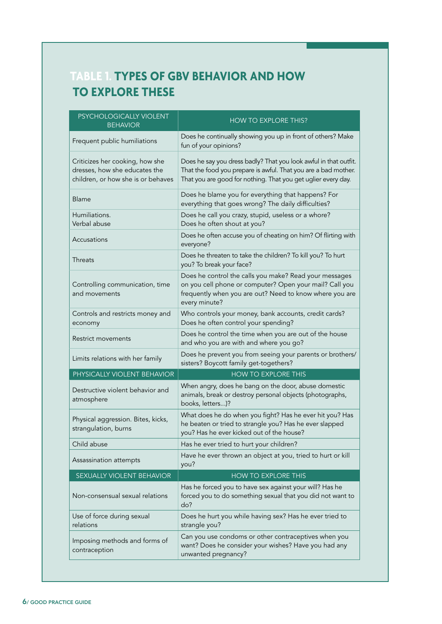#### **TABLE 1. TYPES OF GBV BEHAVIOR AND HOW TO EXPLORE THESE**

| PSYCHOLOGICALLY VIOLENT<br><b>BEHAVIOR</b>                                                             | <b>HOW TO EXPLORE THIS?</b>                                                                                                                                                                         |  |
|--------------------------------------------------------------------------------------------------------|-----------------------------------------------------------------------------------------------------------------------------------------------------------------------------------------------------|--|
| Frequent public humiliations                                                                           | Does he continually showing you up in front of others? Make<br>fun of your opinions?                                                                                                                |  |
| Criticizes her cooking, how she<br>dresses, how she educates the<br>children, or how she is or behaves | Does he say you dress badly? That you look awful in that outfit.<br>That the food you prepare is awful. That you are a bad mother.<br>That you are good for nothing. That you get uglier every day. |  |
| <b>Blame</b>                                                                                           | Does he blame you for everything that happens? For<br>everything that goes wrong? The daily difficulties?                                                                                           |  |
| Humiliations.<br>Verbal abuse                                                                          | Does he call you crazy, stupid, useless or a whore?<br>Does he often shout at you?                                                                                                                  |  |
| Accusations                                                                                            | Does he often accuse you of cheating on him? Of flirting with<br>everyone?                                                                                                                          |  |
| Threats                                                                                                | Does he threaten to take the children? To kill you? To hurt<br>you? To break your face?                                                                                                             |  |
| Controlling communication, time<br>and movements                                                       | Does he control the calls you make? Read your messages<br>on you cell phone or computer? Open your mail? Call you<br>frequently when you are out? Need to know where you are<br>every minute?       |  |
| Controls and restricts money and<br>economy                                                            | Who controls your money, bank accounts, credit cards?<br>Does he often control your spending?                                                                                                       |  |
| Restrict movements                                                                                     | Does he control the time when you are out of the house<br>and who you are with and where you go?                                                                                                    |  |
| Limits relations with her family                                                                       | Does he prevent you from seeing your parents or brothers/<br>sisters? Boycott family get-togethers?                                                                                                 |  |
| PHYSICALLY VIOLENT BEHAVIOR                                                                            | <b>HOW TO EXPLORE THIS</b>                                                                                                                                                                          |  |
| Destructive violent behavior and<br>atmosphere                                                         | When angry, does he bang on the door, abuse domestic<br>animals, break or destroy personal objects (photographs,<br>books, letters)?                                                                |  |
| Physical aggression. Bites, kicks,<br>strangulation, burns                                             | What does he do when you fight? Has he ever hit you? Has<br>he beaten or tried to strangle you? Has he ever slapped<br>you? Has he ever kicked out of the house?                                    |  |
| Child abuse                                                                                            | Has he ever tried to hurt your children?                                                                                                                                                            |  |
| Assassination attempts                                                                                 | Have he ever thrown an object at you, tried to hurt or kill<br>you?                                                                                                                                 |  |
| SEXUALLY VIOLENT BEHAVIOR                                                                              | <b>HOW TO EXPLORE THIS</b>                                                                                                                                                                          |  |
| Non-consensual sexual relations                                                                        | Has he forced you to have sex against your will? Has he<br>forced you to do something sexual that you did not want to<br>do?                                                                        |  |
| Use of force during sexual<br>relations                                                                | Does he hurt you while having sex? Has he ever tried to<br>strangle you?                                                                                                                            |  |
| Imposing methods and forms of<br>contraception                                                         | Can you use condoms or other contraceptives when you<br>want? Does he consider your wishes? Have you had any<br>unwanted pregnancy?                                                                 |  |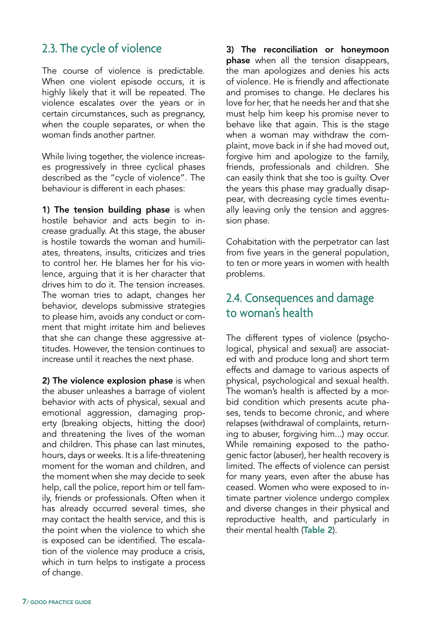#### 2.3. The cycle of violence

The course of violence is predictable. When one violent episode occurs, it is highly likely that it will be repeated. The violence escalates over the years or in certain circumstances, such as pregnancy, when the couple separates, or when the woman finds another partner.

While living together, the violence increases progressively in three cyclical phases described as the "cycle of violence". The behaviour is different in each phases:

1) The tension building phase is when hostile behavior and acts begin to increase gradually. At this stage, the abuser is hostile towards the woman and humiliates, threatens, insults, criticizes and tries to control her. He blames her for his violence, arguing that it is her character that drives him to do it. The tension increases. The woman tries to adapt, changes her behavior, develops submissive strategies to please him, avoids any conduct or comment that might irritate him and believes that she can change these aggressive attitudes. However, the tension continues to increase until it reaches the next phase.

2) The violence explosion phase is when the abuser unleashes a barrage of violent behavior with acts of physical, sexual and emotional aggression, damaging property (breaking objects, hitting the door) and threatening the lives of the woman and children. This phase can last minutes, hours, days or weeks. It is a life-threatening moment for the woman and children, and the moment when she may decide to seek help, call the police, report him or tell family, friends or professionals. Often when it has already occurred several times, she may contact the health service, and this is the point when the violence to which she is exposed can be identified. The escalation of the violence may produce a crisis, which in turn helps to instigate a process of change.

3) The reconciliation or honeymoon phase when all the tension disappears, the man apologizes and denies his acts of violence. He is friendly and affectionate and promises to change. He declares his love for her, that he needs her and that she must help him keep his promise never to behave like that again. This is the stage when a woman may withdraw the complaint, move back in if she had moved out, forgive him and apologize to the family, friends, professionals and children. She can easily think that she too is guilty. Over the years this phase may gradually disappear, with decreasing cycle times eventually leaving only the tension and aggression phase.

Cohabitation with the perpetrator can last from five years in the general population, to ten or more years in women with health problems.

#### 2.4. Consequences and damage to woman's health

The different types of violence (psychological, physical and sexual) are associated with and produce long and short term effects and damage to various aspects of physical, psychological and sexual health. The woman's health is affected by a morbid condition which presents acute phases, tends to become chronic, and where relapses (withdrawal of complaints, returning to abuser, forgiving him...) may occur. While remaining exposed to the pathogenic factor (abuser), her health recovery is limited. The effects of violence can persist for many years, even after the abuse has ceased. Women who were exposed to intimate partner violence undergo complex and diverse changes in their physical and reproductive health, and particularly in their mental health (Table 2).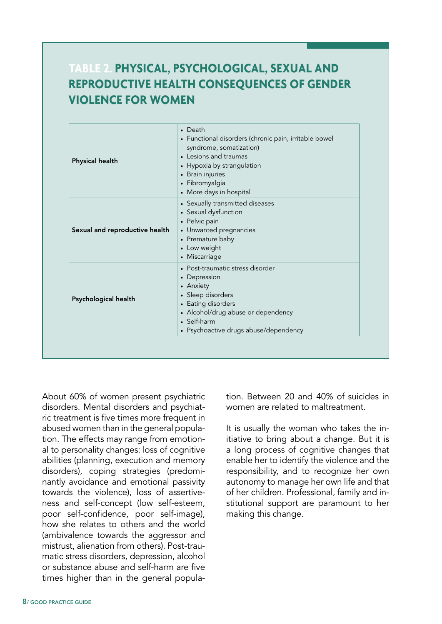#### **TABLE 2. PHYSICAL, PSYCHOLOGICAL, SEXUAL AND REPRODUCTIVE HEALTH CONSEQUENCES OF GENDER VIOLENCE FOR WOMEN**

| <b>Physical health</b>         | $\bullet$ Death<br>• Functional disorders (chronic pain, irritable bowel<br>syndrome, somatization)<br>• Lesions and traumas<br>• Hypoxia by strangulation<br>• Brain injuries<br>· Fibromyalgia<br>• More days in hospital |  |
|--------------------------------|-----------------------------------------------------------------------------------------------------------------------------------------------------------------------------------------------------------------------------|--|
| Sexual and reproductive health | • Sexually transmitted diseases<br>• Sexual dysfunction<br>• Pelvic pain<br>• Unwanted pregnancies<br>• Premature baby<br>• Low weight<br>• Miscarriage                                                                     |  |
| Psychological health           | • Post-traumatic stress disorder<br>• Depression<br>• Anxiety<br>• Sleep disorders<br>• Eating disorders<br>• Alcohol/drug abuse or dependency<br>• Self-harm<br>• Psychoactive drugs abuse/dependency                      |  |

About 60% of women present psychiatric disorders. Mental disorders and psychiatric treatment is five times more frequent in abused women than in the general population. The effects may range from emotional to personality changes: loss of cognitive abilities (planning, execution and memory disorders), coping strategies (predominantly avoidance and emotional passivity towards the violence), loss of assertiveness and self-concept (low self-esteem, poor self-confidence, poor self-image), how she relates to others and the world (ambivalence towards the aggressor and mistrust, alienation from others). Post-traumatic stress disorders, depression, alcohol or substance abuse and self-harm are five times higher than in the general population. Between 20 and 40% of suicides in women are related to maltreatment.

It is usually the woman who takes the initiative to bring about a change. But it is a long process of cognitive changes that enable her to identify the violence and the responsibility, and to recognize her own autonomy to manage her own life and that of her children. Professional, family and institutional support are paramount to her making this change.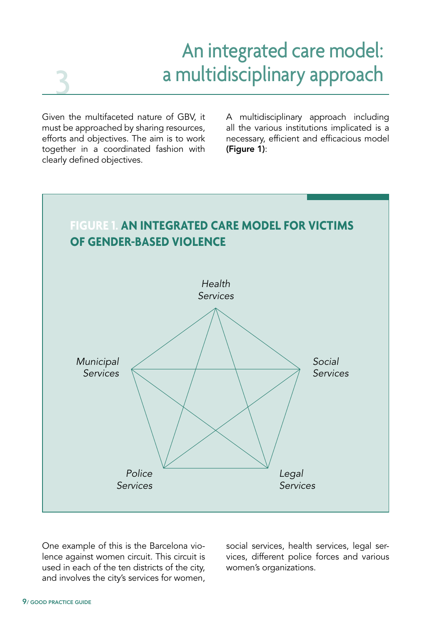### An integrated care model: a multidisciplinary approach

Given the multifaceted nature of GBV, it must be approached by sharing resources, efforts and objectives. The aim is to work together in a coordinated fashion with clearly defined objectives.

3

A multidisciplinary approach including all the various institutions implicated is a necessary, efficient and efficacious model (Figure 1):



One example of this is the Barcelona violence against women circuit. This circuit is used in each of the ten districts of the city, and involves the city's services for women, social services, health services, legal services, different police forces and various women's organizations.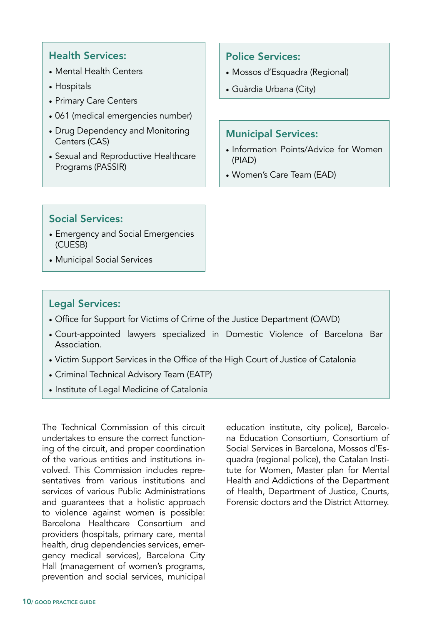#### Health Services:

- Mental Health Centers
- Hospitals
- Primary Care Centers
- 061 (medical emergencies number)
- Drug Dependency and Monitoring Centers (CAS)
- Sexual and Reproductive Healthcare Programs (PASSIR)

#### Police Services:

- Mossos d'Esquadra (Regional)
- Guàrdia Urbana (City)

#### Municipal Services:

- Information Points/Advice for Women (PIAD)
- Women's Care Team (EAD)

#### Social Services:

- Emergency and Social Emergencies (CUESB)
- Municipal Social Services

#### Legal Services:

- Office for Support for Victims of Crime of the Justice Department (OAVD)
- Court-appointed lawyers specialized in Domestic Violence of Barcelona Bar Association.
- Victim Support Services in the Office of the High Court of Justice of Catalonia
- Criminal Technical Advisory Team (EATP)
- Institute of Legal Medicine of Catalonia

The Technical Commission of this circuit undertakes to ensure the correct functioning of the circuit, and proper coordination of the various entities and institutions involved. This Commission includes representatives from various institutions and services of various Public Administrations and guarantees that a holistic approach to violence against women is possible: Barcelona Healthcare Consortium and providers (hospitals, primary care, mental health, drug dependencies services, emergency medical services), Barcelona City Hall (management of women's programs, prevention and social services, municipal

education institute, city police), Barcelona Education Consortium, Consortium of Social Services in Barcelona, Mossos d'Esquadra (regional police), the Catalan Institute for Women, Master plan for Mental Health and Addictions of the Department of Health, Department of Justice, Courts, Forensic doctors and the District Attorney.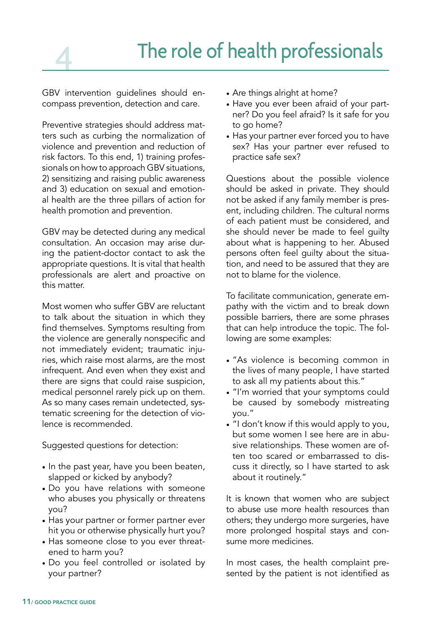## The role of health professionals

GBV intervention guidelines should encompass prevention, detection and care.

Preventive strategies should address matters such as curbing the normalization of violence and prevention and reduction of risk factors. To this end, 1) training professionals on how to approach GBV situations, 2) sensitizing and raising public awareness and 3) education on sexual and emotional health are the three pillars of action for health promotion and prevention.

GBV may be detected during any medical consultation. An occasion may arise during the patient-doctor contact to ask the appropriate questions. It is vital that health professionals are alert and proactive on this matter.

Most women who suffer GBV are reluctant to talk about the situation in which they find themselves. Symptoms resulting from the violence are generally nonspecific and not immediately evident; traumatic injuries, which raise most alarms, are the most infrequent. And even when they exist and there are signs that could raise suspicion, medical personnel rarely pick up on them. As so many cases remain undetected, systematic screening for the detection of violence is recommended.

Suggested questions for detection:

- In the past year, have you been beaten, slapped or kicked by anybody?
- Do you have relations with someone who abuses you physically or threatens you?
- Has your partner or former partner ever hit you or otherwise physically hurt you?
- Has someone close to you ever threatened to harm you?
- Do you feel controlled or isolated by your partner?
- Are things alright at home?
- Have you ever been afraid of your partner? Do you feel afraid? Is it safe for you to go home?
- Has your partner ever forced you to have sex? Has your partner ever refused to practice safe sex?

Questions about the possible violence should be asked in private. They should not be asked if any family member is present, including children. The cultural norms of each patient must be considered, and she should never be made to feel guilty about what is happening to her. Abused persons often feel guilty about the situation, and need to be assured that they are not to blame for the violence.

To facilitate communication, generate empathy with the victim and to break down possible barriers, there are some phrases that can help introduce the topic. The following are some examples:

- "As violence is becoming common in the lives of many people, I have started to ask all my patients about this."
- "I'm worried that your symptoms could be caused by somebody mistreating you."
- "I don't know if this would apply to you, but some women I see here are in abusive relationships. These women are often too scared or embarrassed to discuss it directly, so I have started to ask about it routinely."

It is known that women who are subject to abuse use more health resources than others; they undergo more surgeries, have more prolonged hospital stays and consume more medicines.

In most cases, the health complaint presented by the patient is not identified as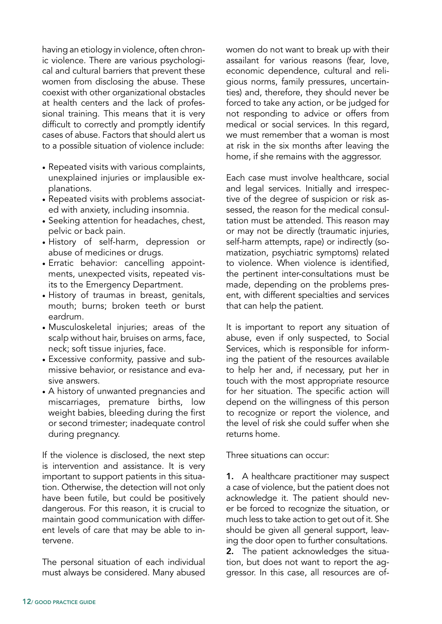having an etiology in violence, often chronic violence. There are various psychological and cultural barriers that prevent these women from disclosing the abuse. These coexist with other organizational obstacles at health centers and the lack of professional training. This means that it is very difficult to correctly and promptly identify cases of abuse. Factors that should alert us to a possible situation of violence include:

- Repeated visits with various complaints, unexplained injuries or implausible explanations.
- Repeated visits with problems associated with anxiety, including insomnia.
- Seeking attention for headaches, chest, pelvic or back pain.
- History of self-harm, depression or abuse of medicines or drugs.
- Erratic behavior: cancelling appointments, unexpected visits, repeated visits to the Emergency Department.
- History of traumas in breast, genitals, mouth; burns; broken teeth or burst eardrum.
- Musculoskeletal injuries; areas of the scalp without hair, bruises on arms, face, neck; soft tissue injuries, face.
- Excessive conformity, passive and submissive behavior, or resistance and evasive answers.
- A history of unwanted pregnancies and miscarriages, premature births, low weight babies, bleeding during the first or second trimester; inadequate control during pregnancy.

If the violence is disclosed, the next step is intervention and assistance. It is very important to support patients in this situation. Otherwise, the detection will not only have been futile, but could be positively dangerous. For this reason, it is crucial to maintain good communication with different levels of care that may be able to intervene.

The personal situation of each individual must always be considered. Many abused women do not want to break up with their assailant for various reasons (fear, love, economic dependence, cultural and religious norms, family pressures, uncertainties) and, therefore, they should never be forced to take any action, or be judged for not responding to advice or offers from medical or social services. In this regard, we must remember that a woman is most at risk in the six months after leaving the home, if she remains with the aggressor.

Each case must involve healthcare, social and legal services. Initially and irrespective of the degree of suspicion or risk assessed, the reason for the medical consultation must be attended. This reason may or may not be directly (traumatic injuries, self-harm attempts, rape) or indirectly (somatization, psychiatric symptoms) related to violence. When violence is identified, the pertinent inter-consultations must be made, depending on the problems present, with different specialties and services that can help the patient.

It is important to report any situation of abuse, even if only suspected, to Social Services, which is responsible for informing the patient of the resources available to help her and, if necessary, put her in touch with the most appropriate resource for her situation. The specific action will depend on the willingness of this person to recognize or report the violence, and the level of risk she could suffer when she returns home.

Three situations can occur:

1. A healthcare practitioner may suspect a case of violence, but the patient does not acknowledge it. The patient should never be forced to recognize the situation, or much less to take action to get out of it. She should be given all general support, leaving the door open to further consultations.

2. The patient acknowledges the situation, but does not want to report the aggressor. In this case, all resources are of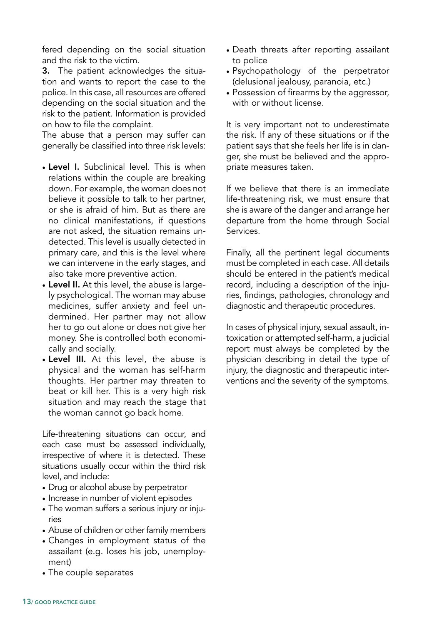fered depending on the social situation and the risk to the victim.

3. The patient acknowledges the situation and wants to report the case to the police. In this case, all resources are offered depending on the social situation and the risk to the patient. Information is provided on how to file the complaint.

The abuse that a person may suffer can generally be classified into three risk levels:

- Level I. Subclinical level. This is when relations within the couple are breaking down. For example, the woman does not believe it possible to talk to her partner, or she is afraid of him. But as there are no clinical manifestations, if questions are not asked, the situation remains undetected. This level is usually detected in primary care, and this is the level where we can intervene in the early stages, and also take more preventive action.
- Level II. At this level, the abuse is largely psychological. The woman may abuse medicines, suffer anxiety and feel undermined. Her partner may not allow her to go out alone or does not give her money. She is controlled both economically and socially.
- Level III. At this level, the abuse is physical and the woman has self-harm thoughts. Her partner may threaten to beat or kill her. This is a very high risk situation and may reach the stage that the woman cannot go back home.

Life-threatening situations can occur, and each case must be assessed individually, irrespective of where it is detected. These situations usually occur within the third risk level, and include:

- Drug or alcohol abuse by perpetrator
- Increase in number of violent episodes
- The woman suffers a serious injury or injuries
- Abuse of children or other family members
- Changes in employment status of the assailant (e.g. loses his job, unemployment)
- The couple separates
- Death threats after reporting assailant to police
- Psychopathology of the perpetrator (delusional jealousy, paranoia, etc.)
- Possession of firearms by the aggressor, with or without license.

It is very important not to underestimate the risk. If any of these situations or if the patient says that she feels her life is in danger, she must be believed and the appropriate measures taken.

If we believe that there is an immediate life-threatening risk, we must ensure that she is aware of the danger and arrange her departure from the home through Social Services.

Finally, all the pertinent legal documents must be completed in each case. All details should be entered in the patient's medical record, including a description of the injuries, findings, pathologies, chronology and diagnostic and therapeutic procedures.

In cases of physical injury, sexual assault, intoxication or attempted self-harm, a judicial report must always be completed by the physician describing in detail the type of injury, the diagnostic and therapeutic interventions and the severity of the symptoms.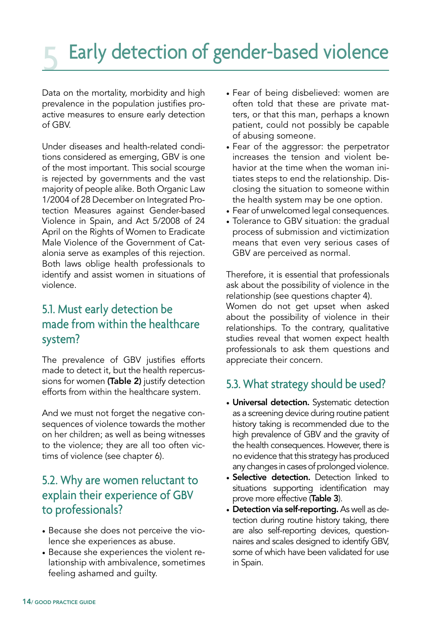## Early detection of gender-based violence

Data on the mortality, morbidity and high prevalence in the population justifies proactive measures to ensure early detection of GBV.

Under diseases and health-related conditions considered as emerging, GBV is one of the most important. This social scourge is rejected by governments and the vast majority of people alike. Both Organic Law 1/2004 of 28 December on Integrated Protection Measures against Gender-based Violence in Spain, and Act 5/2008 of 24 April on the Rights of Women to Eradicate Male Violence of the Government of Catalonia serve as examples of this rejection. Both laws oblige health professionals to identify and assist women in situations of violence.

#### 5.1. Must early detection be made from within the healthcare system?

The prevalence of GBV justifies efforts made to detect it, but the health repercussions for women (Table 2) justify detection efforts from within the healthcare system.

And we must not forget the negative consequences of violence towards the mother on her children; as well as being witnesses to the violence; they are all too often victims of violence (see chapter 6).

#### 5.2. Why are women reluctant to explain their experience of GBV to professionals?

- Because she does not perceive the violence she experiences as abuse.
- Because she experiences the violent relationship with ambivalence, sometimes feeling ashamed and guilty.
- Fear of being disbelieved: women are often told that these are private matters, or that this man, perhaps a known patient, could not possibly be capable of abusing someone.
- Fear of the aggressor: the perpetrator increases the tension and violent behavior at the time when the woman initiates steps to end the relationship. Disclosing the situation to someone within the health system may be one option.
- Fear of unwelcomed legal consequences.
- Tolerance to GBV situation: the gradual process of submission and victimization means that even very serious cases of GBV are perceived as normal.

Therefore, it is essential that professionals ask about the possibility of violence in the relationship (see questions chapter 4).

Women do not get upset when asked about the possibility of violence in their relationships. To the contrary, qualitative studies reveal that women expect health professionals to ask them questions and appreciate their concern.

#### 5.3. What strategy should be used?

- Universal detection. Systematic detection as a screening device during routine patient history taking is recommended due to the high prevalence of GBV and the gravity of the health consequences. However, there is no evidence that this strategy has produced any changes in cases of prolonged violence.
- Selective detection. Detection linked to situations supporting identification may prove more effective (Table 3).
- Detection via self-reporting. As well as detection during routine history taking, there are also self-reporting devices, questionnaires and scales designed to identify GBV, some of which have been validated for use in Spain.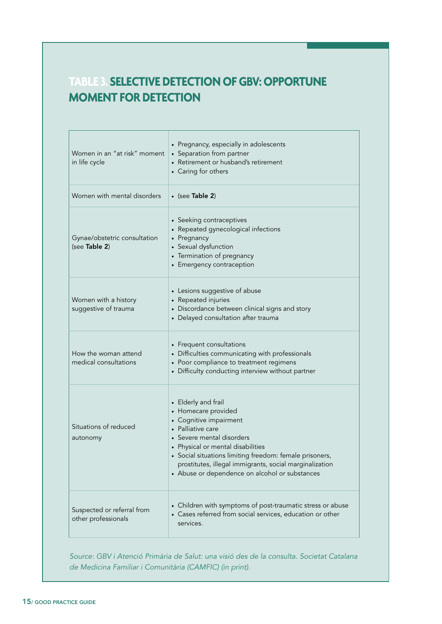#### **TABLE 3. SELECTIVE DETECTION OF GBV: OPPORTUNE MOMENT FOR DETECTION**

| Women in an "at risk" moment<br>in life cycle     | • Pregnancy, especially in adolescents<br>• Separation from partner<br>• Retirement or husband's retirement<br>• Caring for others                                                                                                                                                                                              |  |  |
|---------------------------------------------------|---------------------------------------------------------------------------------------------------------------------------------------------------------------------------------------------------------------------------------------------------------------------------------------------------------------------------------|--|--|
| Women with mental disorders                       | $\bullet$ (see Table 2)                                                                                                                                                                                                                                                                                                         |  |  |
| Gynae/obstetric consultation<br>(see Table 2)     | • Seeking contraceptives<br>• Repeated gynecological infections<br>• Pregnancy<br>• Sexual dysfunction<br>• Termination of pregnancy<br>• Emergency contraception                                                                                                                                                               |  |  |
| Women with a history<br>suggestive of trauma      | • Lesions suggestive of abuse<br>• Repeated injuries<br>• Discordance between clinical signs and story<br>• Delayed consultation after trauma                                                                                                                                                                                   |  |  |
| How the woman attend<br>medical consultations     | • Frequent consultations<br>• Difficulties communicating with professionals<br>• Poor compliance to treatment regimens<br>• Difficulty conducting interview without partner                                                                                                                                                     |  |  |
| Situations of reduced<br>autonomy                 | • Elderly and frail<br>• Homecare provided<br>• Cognitive impairment<br>• Palliative care<br>Severe mental disorders<br>Physical or mental disabilities<br>• Social situations limiting freedom: female prisoners,<br>prostitutes, illegal immigrants, social marginalization<br>• Abuse or dependence on alcohol or substances |  |  |
| Suspected or referral from<br>other professionals | • Children with symptoms of post-traumatic stress or abuse<br>• Cases referred from social services, education or other<br>services.                                                                                                                                                                                            |  |  |

*Source: GBV i Atenció Primària de Salut: una visió des de la consulta. Societat Catalana de Medicina Familiar i Comunitària (CAMFIC) (in print).*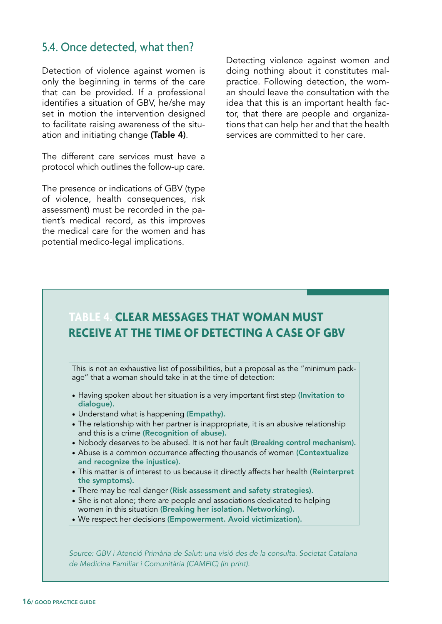#### 5.4. Once detected, what then?

Detection of violence against women is only the beginning in terms of the care that can be provided. If a professional identifies a situation of GBV, he/she may set in motion the intervention designed to facilitate raising awareness of the situation and initiating change (Table 4).

The different care services must have a protocol which outlines the follow-up care.

The presence or indications of GBV (type of violence, health consequences, risk assessment) must be recorded in the patient's medical record, as this improves the medical care for the women and has potential medico-legal implications.

Detecting violence against women and doing nothing about it constitutes malpractice. Following detection, the woman should leave the consultation with the idea that this is an important health factor, that there are people and organizations that can help her and that the health services are committed to her care.

#### **TABLE 4. CLEAR MESSAGES THAT WOMAN MUST RECEIVE AT THE TIME OF DETECTING A CASE OF GBV**

This is not an exhaustive list of possibilities, but a proposal as the "minimum package" that a woman should take in at the time of detection:

- Having spoken about her situation is a very important first step (Invitation to dialogue).
- Understand what is happening (Empathy).
- The relationship with her partner is inappropriate, it is an abusive relationship and this is a crime (Recognition of abuse).
- Nobody deserves to be abused. It is not her fault (Breaking control mechanism).
- Abuse is a common occurrence affecting thousands of women (Contextualize and recognize the injustice).
- This matter is of interest to us because it directly affects her health (Reinterpret the symptoms).
- There may be real danger (Risk assessment and safety strategies).
- She is not alone; there are people and associations dedicated to helping women in this situation (Breaking her isolation. Networking).
- We respect her decisions (Empowerment. Avoid victimization).

*Source: GBV i Atenció Primària de Salut: una visió des de la consulta. Societat Catalana de Medicina Familiar i Comunitària (CAMFIC) (in print).*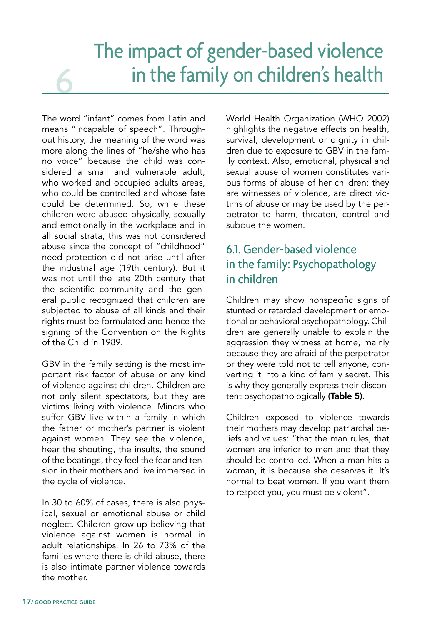## The impact of gender-based violence in the family on children's health

The word "infant" comes from Latin and means "incapable of speech". Throughout history, the meaning of the word was more along the lines of "he/she who has no voice" because the child was considered a small and vulnerable adult, who worked and occupied adults areas, who could be controlled and whose fate could be determined. So, while these children were abused physically, sexually and emotionally in the workplace and in all social strata, this was not considered abuse since the concept of "childhood" need protection did not arise until after the industrial age (19th century). But it was not until the late 20th century that the scientific community and the general public recognized that children are subjected to abuse of all kinds and their rights must be formulated and hence the signing of the Convention on the Rights of the Child in 1989.

6

GBV in the family setting is the most important risk factor of abuse or any kind of violence against children. Children are not only silent spectators, but they are victims living with violence. Minors who suffer GBV live within a family in which the father or mother's partner is violent against women. They see the violence, hear the shouting, the insults, the sound of the beatings, they feel the fear and tension in their mothers and live immersed in the cycle of violence.

In 30 to 60% of cases, there is also physical, sexual or emotional abuse or child neglect. Children grow up believing that violence against women is normal in adult relationships. In 26 to 73% of the families where there is child abuse, there is also intimate partner violence towards the mother.

World Health Organization (WHO 2002) highlights the negative effects on health, survival, development or dignity in children due to exposure to GBV in the family context. Also, emotional, physical and sexual abuse of women constitutes various forms of abuse of her children: they are witnesses of violence, are direct victims of abuse or may be used by the perpetrator to harm, threaten, control and subdue the women.

#### 6.1. Gender-based violence in the family: Psychopathology in children

Children may show nonspecific signs of stunted or retarded development or emotional or behavioral psychopathology. Children are generally unable to explain the aggression they witness at home, mainly because they are afraid of the perpetrator or they were told not to tell anyone, converting it into a kind of family secret. This is why they generally express their discontent psychopathologically (Table 5).

Children exposed to violence towards their mothers may develop patriarchal beliefs and values: "that the man rules, that women are inferior to men and that they should be controlled. When a man hits a woman, it is because she deserves it. It's normal to beat women. If you want them to respect you, you must be violent".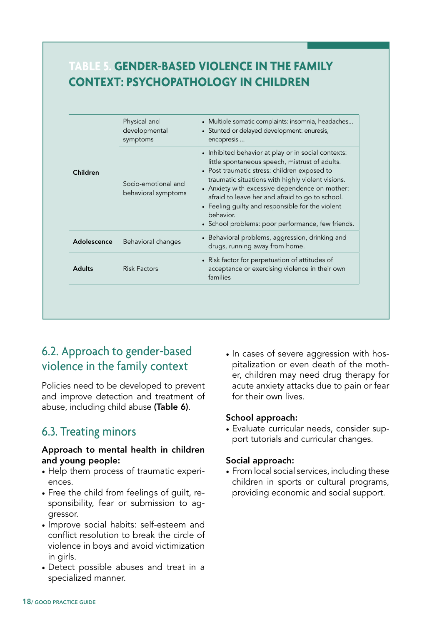#### **TABLE 5. GENDER-BASED VIOLENCE IN THE FAMILY CONTEXT: PSYCHOPATHOLOGY IN CHILDREN**

|               | Physical and<br>developmental<br>symptoms  | • Multiple somatic complaints: insomnia, headaches<br>• Stunted or delayed development: enuresis,<br>encopresis                                                                                                                                                                                                                                                                                                                       |
|---------------|--------------------------------------------|---------------------------------------------------------------------------------------------------------------------------------------------------------------------------------------------------------------------------------------------------------------------------------------------------------------------------------------------------------------------------------------------------------------------------------------|
| Children      | Socio-emotional and<br>behavioral symptoms | • Inhibited behavior at play or in social contexts:<br>little spontaneous speech, mistrust of adults.<br>• Post traumatic stress: children exposed to<br>traumatic situations with highly violent visions.<br>• Anxiety with excessive dependence on mother:<br>afraid to leave her and afraid to go to school.<br>• Feeling guilty and responsible for the violent<br>behavior.<br>• School problems: poor performance, few friends. |
| Adolescence   | Behavioral changes                         | • Behavioral problems, aggression, drinking and<br>drugs, running away from home.                                                                                                                                                                                                                                                                                                                                                     |
| <b>Adults</b> | <b>Risk Factors</b>                        | • Risk factor for perpetuation of attitudes of<br>acceptance or exercising violence in their own<br>families                                                                                                                                                                                                                                                                                                                          |

#### 6.2. Approach to gender-based violence in the family context

Policies need to be developed to prevent and improve detection and treatment of abuse, including child abuse (Table 6).

#### 6.3. Treating minors

#### Approach to mental health in children and young people:

- Help them process of traumatic experiences.
- Free the child from feelings of guilt, responsibility, fear or submission to aggressor.
- Improve social habits: self-esteem and conflict resolution to break the circle of violence in boys and avoid victimization in girls.
- Detect possible abuses and treat in a specialized manner.

• In cases of severe aggression with hospitalization or even death of the mother, children may need drug therapy for acute anxiety attacks due to pain or fear for their own lives.

#### School approach:

• Evaluate curricular needs, consider support tutorials and curricular changes.

#### Social approach:

• From local social services, including these children in sports or cultural programs, providing economic and social support.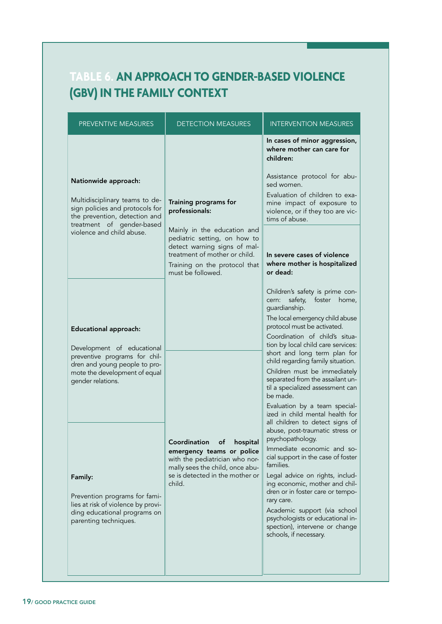#### **TABLE 6. AN APPROACH TO GENDER-BASED VIOLENCE (GBV) IN THE FAMILY CONTEXT**

| PREVENTIVE MEASURES                                                                                                                                                                  | <b>DETECTION MEASURES</b>                                                                                                                                                                                                     | <b>INTERVENTION MEASURES</b>                                                                                                                                                                                                                                                                                                                                                                                                                                                                |  |
|--------------------------------------------------------------------------------------------------------------------------------------------------------------------------------------|-------------------------------------------------------------------------------------------------------------------------------------------------------------------------------------------------------------------------------|---------------------------------------------------------------------------------------------------------------------------------------------------------------------------------------------------------------------------------------------------------------------------------------------------------------------------------------------------------------------------------------------------------------------------------------------------------------------------------------------|--|
| Nationwide approach:<br>Multidisciplinary teams to de-<br>sign policies and protocols for<br>the prevention, detection and<br>treatment of gender-based<br>violence and child abuse. | Training programs for<br>professionals:<br>Mainly in the education and<br>pediatric setting, on how to<br>detect warning signs of mal-<br>treatment of mother or child.<br>Training on the protocol that<br>must be followed. | In cases of minor aggression,<br>where mother can care for<br>children:<br>Assistance protocol for abu-<br>sed women.<br>Evaluation of children to exa-<br>mine impact of exposure to<br>violence, or if they too are vic-<br>tims of abuse.<br>In severe cases of violence<br>where mother is hospitalized<br>or dead:                                                                                                                                                                     |  |
| <b>Educational approach:</b><br>Development of educational<br>preventive programs for chil-<br>dren and young people to pro-<br>mote the development of equal<br>gender relations.   |                                                                                                                                                                                                                               | Children's safety is prime con-<br>safety, foster<br>cern:<br>home,<br>guardianship.<br>The local emergency child abuse<br>protocol must be activated.<br>Coordination of child's situa-<br>tion by local child care services:<br>short and long term plan for<br>child regarding family situation.<br>Children must be immediately<br>separated from the assailant un-<br>til a specialized assessment can<br>be made.<br>Evaluation by a team special-<br>ized in child mental health for |  |
| Family:<br>Prevention programs for fami-<br>lies at risk of violence by provi-<br>ding educational programs on<br>parenting techniques.                                              | Coordination<br>of<br>hospital<br>emergency teams or police<br>with the pediatrician who nor-<br>mally sees the child, once abu-<br>se is detected in the mother or<br>child.                                                 | all children to detect signs of<br>abuse, post-traumatic stress or<br>psychopathology.<br>Immediate economic and so-<br>cial support in the case of foster<br>families.<br>Legal advice on rights, includ-<br>ing economic, mother and chil-<br>dren or in foster care or tempo-<br>rary care.<br>Academic support (via school<br>psychologists or educational in-<br>spection), intervene or change<br>schools, if necessary.                                                              |  |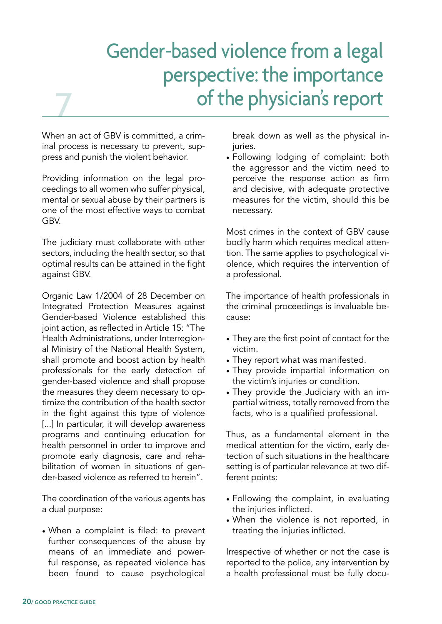## Gender-based violence from a legal perspective: the importance of the physician's report

When an act of GBV is committed, a criminal process is necessary to prevent, suppress and punish the violent behavior.

7

Providing information on the legal proceedings to all women who suffer physical, mental or sexual abuse by their partners is one of the most effective ways to combat GBV.

The judiciary must collaborate with other sectors, including the health sector, so that optimal results can be attained in the fight against GBV.

Organic Law 1/2004 of 28 December on Integrated Protection Measures against Gender-based Violence established this joint action, as reflected in Article 15: "The Health Administrations, under Interregional Ministry of the National Health System, shall promote and boost action by health professionals for the early detection of gender-based violence and shall propose the measures they deem necessary to optimize the contribution of the health sector in the fight against this type of violence [...] In particular, it will develop awareness programs and continuing education for health personnel in order to improve and promote early diagnosis, care and rehabilitation of women in situations of gender-based violence as referred to herein".

The coordination of the various agents has a dual purpose:

• When a complaint is filed: to prevent further consequences of the abuse by means of an immediate and powerful response, as repeated violence has been found to cause psychological

break down as well as the physical injuries.

• Following lodging of complaint: both the aggressor and the victim need to perceive the response action as firm and decisive, with adequate protective measures for the victim, should this be necessary.

Most crimes in the context of GBV cause bodily harm which requires medical attention. The same applies to psychological violence, which requires the intervention of a professional.

The importance of health professionals in the criminal proceedings is invaluable because:

- They are the first point of contact for the victim.
- They report what was manifested.
- They provide impartial information on the victim's injuries or condition.
- They provide the Judiciary with an impartial witness, totally removed from the facts, who is a qualified professional.

Thus, as a fundamental element in the medical attention for the victim, early detection of such situations in the healthcare setting is of particular relevance at two different points:

- Following the complaint, in evaluating the injuries inflicted.
- When the violence is not reported, in treating the injuries inflicted.

Irrespective of whether or not the case is reported to the police, any intervention by a health professional must be fully docu-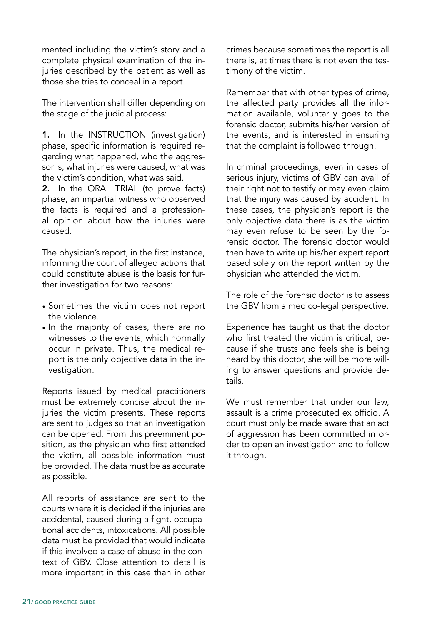mented including the victim's story and a complete physical examination of the injuries described by the patient as well as those she tries to conceal in a report.

The intervention shall differ depending on the stage of the judicial process:

1. In the INSTRUCTION (investigation) phase, specific information is required regarding what happened, who the aggressor is, what injuries were caused, what was the victim's condition, what was said.

2. In the ORAL TRIAL (to prove facts) phase, an impartial witness who observed the facts is required and a professional opinion about how the injuries were caused.

The physician's report, in the first instance, informing the court of alleged actions that could constitute abuse is the basis for further investigation for two reasons:

- Sometimes the victim does not report the violence.
- In the majority of cases, there are no witnesses to the events, which normally occur in private. Thus, the medical report is the only objective data in the investigation.

Reports issued by medical practitioners must be extremely concise about the injuries the victim presents. These reports are sent to judges so that an investigation can be opened. From this preeminent position, as the physician who first attended the victim, all possible information must be provided. The data must be as accurate as possible.

All reports of assistance are sent to the courts where it is decided if the injuries are accidental, caused during a fight, occupational accidents, intoxications. All possible data must be provided that would indicate if this involved a case of abuse in the context of GBV. Close attention to detail is more important in this case than in other crimes because sometimes the report is all there is, at times there is not even the testimony of the victim.

Remember that with other types of crime, the affected party provides all the information available, voluntarily goes to the forensic doctor, submits his/her version of the events, and is interested in ensuring that the complaint is followed through.

In criminal proceedings, even in cases of serious injury, victims of GBV can avail of their right not to testify or may even claim that the injury was caused by accident. In these cases, the physician's report is the only objective data there is as the victim may even refuse to be seen by the forensic doctor. The forensic doctor would then have to write up his/her expert report based solely on the report written by the physician who attended the victim.

The role of the forensic doctor is to assess the GBV from a medico-legal perspective.

Experience has taught us that the doctor who first treated the victim is critical, because if she trusts and feels she is being heard by this doctor, she will be more willing to answer questions and provide details.

We must remember that under our law. assault is a crime prosecuted ex officio. A court must only be made aware that an act of aggression has been committed in order to open an investigation and to follow it through.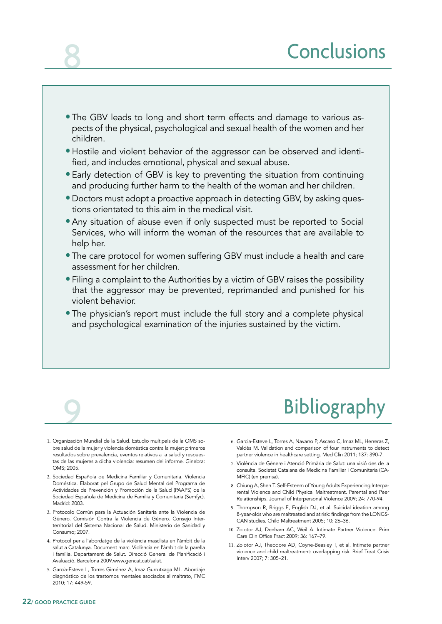- The GBV leads to long and short term effects and damage to various aspects of the physical, psychological and sexual health of the women and her children.
- Hostile and violent behavior of the aggressor can be observed and identified, and includes emotional, physical and sexual abuse.
- Early detection of GBV is key to preventing the situation from continuing and producing further harm to the health of the woman and her children.
- Doctors must adopt a proactive approach in detecting GBV, by asking questions orientated to this aim in the medical visit.
- Any situation of abuse even if only suspected must be reported to Social Services, who will inform the woman of the resources that are available to help her.
- The care protocol for women suffering GBV must include a health and care assessment for her children.
- Filing a complaint to the Authorities by a victim of GBV raises the possibility that the aggressor may be prevented, reprimanded and punished for his violent behavior.
- The physician's report must include the full story and a complete physical and psychological examination of the injuries sustained by the victim.

## **Bibliography**

- 1. Organización Mundial de la Salud. Estudio multipaís de la OMS sobre salud de la mujer y violencia doméstica contra la mujer: primeros resultados sobre prevalencia, eventos relativos a la salud y respuestas de las mujeres a dicha violencia: resumen del informe. Ginebra: OMS; 2005.
- 2. Sociedad Española de Medicina Familiar y Comunitaria. Violencia Doméstica. Elaborat pel Grupo de Salud Mental del Programa de Actividades de Prevención y Promoción de la Salud (PAAPS) de la Sociedad Española de Medicina de Familia y Comunitaria (Semfyc). Madrid: 2003.
- 3. Protocolo Común para la Actuación Sanitaria ante la Violencia de Género. Comisión Contra la Violencia de Género. Consejo Interterritorial del Sistema Nacional de Salud. Ministerio de Sanidad y Consumo; 2007.
- 4. Protocol per a l'abordatge de la violència masclista en l'àmbit de la salut a Catalunya. Document marc. Violència en l'àmbit de la parella i família. Departament de Salut. Direcció General de Planificació i Avaluació. Barcelona 2009.www.gencat.cat/salut.
- 5. García-Esteve L, Torres Giménez A, Imaz Gurrutxaga ML. Abordaje diagnóstico de los trastornos mentales asociados al maltrato, FMC 2010; 17: 449-59.
- 6. Garcia-Esteve L, Torres A, Navarro P, Ascaso C, Imaz ML, Herreras Z, Valdés M. Validation and comparison of four instruments to detect partner violence in healthcare setting. Med Clin 2011; 137: 390-7.
- 7. Violència de Gènere i Atenció Primària de Salut: una visió des de la consulta. Societat Catalana de Medicina Familiar i Comunitaria (CA-MFIC) (en premsa).
- 8. Chiung A, Shen T. Self-Esteem of Young Adults Experiencing Interparental Violence and Child Physical Maltreatment. Parental and Peer Relationships. Journal of Interpersonal Violence 2009; 24: 770-94.
- 9. Thompson R, Briggs E, English DJ, et al. Suicidal ideation among 8-year-olds who are maltreated and at risk: findings from the LONGS-CAN studies. Child Maltreatment 2005; 10: 26–36.
- 10. Zolotor AJ, Denham AC, Weil A. Intimate Partner Violence. Prim Care Clin Office Pract 2009; 36: 167–79.
- 11. Zolotor AJ, Theodore AD, Coyne-Beasley T, et al. Intimate partner violence and child maltreatment: overlapping risk. Brief Treat Crisis Interv 2007; 7: 305–21.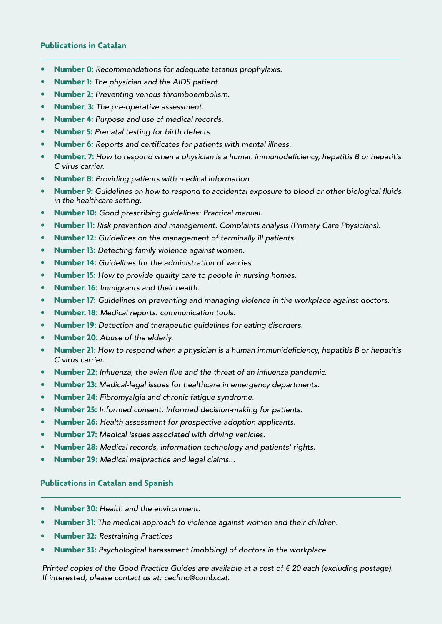#### **Publications in Catalan**

- **Number 0:** *Recommendations for adequate tetanus prophylaxis.*
- **Number 1:** *The physician and the AIDS patient.*
- **Number 2:** *Preventing venous thromboembolism.*
- **Number. 3:** *The pre-operative assessment.*
- **Number 4:** *Purpose and use of medical records.*
- **Number 5:** *Prenatal testing for birth defects.*
- **Number 6:** *Reports and certificates for patients with mental illness.*
- **Number. 7:** *How to respond when a physician is a human immunodeficiency, hepatitis B or hepatitis C virus carrier.*
- **Number 8:** *Providing patients with medical information.*
- **Number 9:** *Guidelines on how to respond to accidental exposure to blood or other biological fluids in the healthcare setting.*
- **Number 10:** *Good prescribing guidelines: Practical manual.*
- **Number 11:** *Risk prevention and management. Complaints analysis (Primary Care Physicians).*
- **Number 12:** *Guidelines on the management of terminally ill patients.*
- **Number 13:** *Detecting family violence against women.*
- **Number 14:** *Guidelines for the administration of vaccies.*
- **Number 15:** *How to provide quality care to people in nursing homes.*
- **Number. 16:** *Immigrants and their health.*
- **Number 17:** *Guidelines on preventing and managing violence in the workplace against doctors.*
- **Number. 18:** *Medical reports: communication tools.*
- **Number 19:** *Detection and therapeutic guidelines for eating disorders.*
- **Number 20:** *Abuse of the elderly.*
- **Number 21:** *How to respond when a physician is a human immunideficiency, hepatitis B or hepatitis C virus carrier.*
- **Number 22:** *Influenza, the avian flue and the threat of an influenza pandemic.*
- **Number 23:** *Medical-legal issues for healthcare in emergency departments.*
- **Number 24:** *Fibromyalgia and chronic fatigue syndrome.*
- **Number 25:** *Informed consent. Informed decision-making for patients.*
- **Number 26:** *Health assessment for prospective adoption applicants.*
- **Number 27:** *Medical issues associated with driving vehicles.*
- **Number 28:** *Medical records, information technology and patients' rights.*
- **Number 29:** *Medical malpractice and legal claims...*

#### **Publications in Catalan and Spanish**

- **Number 30:** *Health and the environment.*
- **Number 31:** *The medical approach to violence against women and their children.*
- **Number 32:** *Restraining Practices*
- **Number 33:** *Psychological harassment (mobbing) of doctors in the workplace*

*Printed copies of the Good Practice Guides are available at a cost of € 20 each (excluding postage). If interested, please contact us at: cecfmc@comb.cat.*